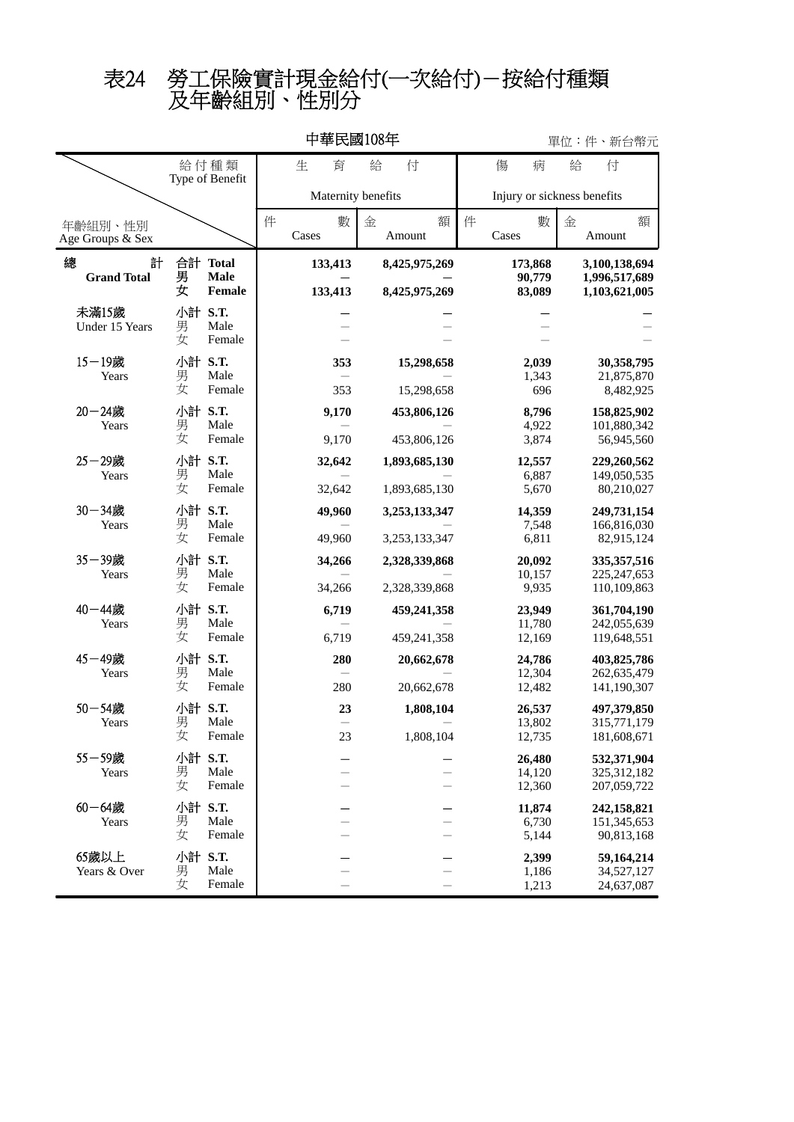及年齡組別、性別分 表24 勞工保險實計現金給付(一次給付)-按給付種類

| 中華民國108年                     |                   |                         |   |                    |                |   |                          |   |                             | 單位:件、新台幣元 |                            |   |                                             |   |  |
|------------------------------|-------------------|-------------------------|---|--------------------|----------------|---|--------------------------|---|-----------------------------|-----------|----------------------------|---|---------------------------------------------|---|--|
| 給付種類<br>Type of Benefit      |                   |                         |   | 生                  | 育              | 給 | 付                        |   |                             | 傷         | 病                          | 給 | 付                                           |   |  |
|                              |                   |                         |   | Maternity benefits |                |   |                          |   | Injury or sickness benefits |           |                            |   |                                             |   |  |
| 年齡組別、性別<br>Age Groups & Sex  |                   |                         | 件 | Cases              | 數              | 金 | Amount                   | 額 | 件                           | Cases     | 數                          | 金 | Amount                                      | 額 |  |
| 總<br>計<br><b>Grand Total</b> | 男<br>女            | 合計 Total<br><b>Male</b> |   |                    | 133,413        |   | 8,425,975,269            |   |                             |           | 173,868<br>90,779          |   | 3,100,138,694<br>1,996,517,689              |   |  |
| 未滿15歲                        | 小計 S.T.           | Female                  |   |                    | 133,413        |   | 8,425,975,269            |   |                             |           | 83,089                     |   | 1,103,621,005                               |   |  |
| Under 15 Years               | 男<br>女            | Male<br>Female          |   |                    |                |   |                          |   |                             |           |                            |   |                                             |   |  |
| $15 - 19$ 歲<br>Years         | 小計<br>男<br>女      | S.T.<br>Male<br>Female  |   |                    | 353<br>353     |   | 15,298,658<br>15,298,658 |   |                             |           | 2,039<br>1,343<br>696      |   | 30,358,795<br>21,875,870<br>8,482,925       |   |  |
| $20 - 24$ 歲                  | 小計 S.T.           |                         |   |                    |                |   | 453,806,126              |   |                             |           |                            |   |                                             |   |  |
| Years                        | 男<br>女            | Male<br>Female          |   |                    | 9,170<br>9,170 |   | 453,806,126              |   |                             |           | 8,796<br>4,922<br>3,874    |   | 158,825,902<br>101,880,342<br>56,945,560    |   |  |
| 25-29歲<br>Years              | 小計 S.T.<br>男<br>女 |                         |   |                    | 32,642         |   | 1,893,685,130            |   |                             |           | 12,557                     |   | 229,260,562                                 |   |  |
|                              |                   | Male<br>Female          |   |                    | 32,642         |   | 1,893,685,130            |   |                             |           | 6,887<br>5,670             |   | 149,050,535<br>80,210,027                   |   |  |
| 30-34歲<br>Years              | 小計 S.T.<br>男      | Male                    |   |                    | 49,960         |   | 3,253,133,347            |   |                             |           | 14,359<br>7,548            |   | 249,731,154<br>166,816,030                  |   |  |
|                              | 女                 | Female                  |   |                    | 49,960         |   | 3,253,133,347            |   |                             |           | 6,811                      |   | 82,915,124                                  |   |  |
| 35-39歲<br>Years              | 小計 S.T.<br>男      | Male                    |   |                    | 34,266         |   | 2,328,339,868            |   |                             |           | 20,092<br>10,157           |   | 335, 357, 516<br>225, 247, 653              |   |  |
|                              | 女                 | Female                  |   |                    | 34,266         |   | 2,328,339,868            |   |                             |           | 9,935                      |   | 110,109,863                                 |   |  |
| 40-44歲<br>Years              | 小計 S.T.<br>男<br>女 | Male<br>Female          |   |                    | 6,719          |   | 459,241,358              |   |                             |           | 23,949<br>11,780           |   | 361,704,190<br>242,055,639                  |   |  |
|                              |                   |                         |   |                    | 6,719          |   | 459,241,358              |   |                             |           | 12,169                     |   | 119,648,551                                 |   |  |
| 45-49歲<br>Years              | 小計 S.T.<br>男<br>女 | Male<br>Female          |   |                    | 280            |   | 20,662,678               |   |                             |           | 24,786<br>12,304           |   | 403,825,786<br>262,635,479                  |   |  |
|                              |                   |                         |   |                    | 280            |   | 20,662,678               |   |                             |           | 12,482                     |   | 141,190,307                                 |   |  |
| 50-54歲<br>Years              | 小計 S.T.<br>男<br>女 | Male<br>Female          |   |                    | 23<br>23       |   | 1,808,104<br>1,808,104   |   |                             |           | 26,537<br>13,802<br>12,735 |   | 497,379,850<br>315,771,179<br>181,608,671   |   |  |
| 55-59歲<br>Years              | 小計 S.T.<br>男<br>女 | Male<br>Female          |   |                    |                |   |                          |   |                             |           | 26,480<br>14,120<br>12,360 |   | 532,371,904<br>325, 312, 182<br>207,059,722 |   |  |
| $60 - 64$ 歲<br>Years         | 小計 S.T.<br>男<br>女 | Male<br>Female          |   |                    |                |   |                          |   |                             |           | 11,874<br>6,730<br>5,144   |   | 242,158,821<br>151,345,653<br>90,813,168    |   |  |
| 65歲以上<br>Years & Over        | 小計 S.T.<br>男<br>女 | Male<br>Female          |   |                    |                |   |                          |   |                             |           | 2,399<br>1,186<br>1,213    |   | 59,164,214<br>34,527,127<br>24,637,087      |   |  |